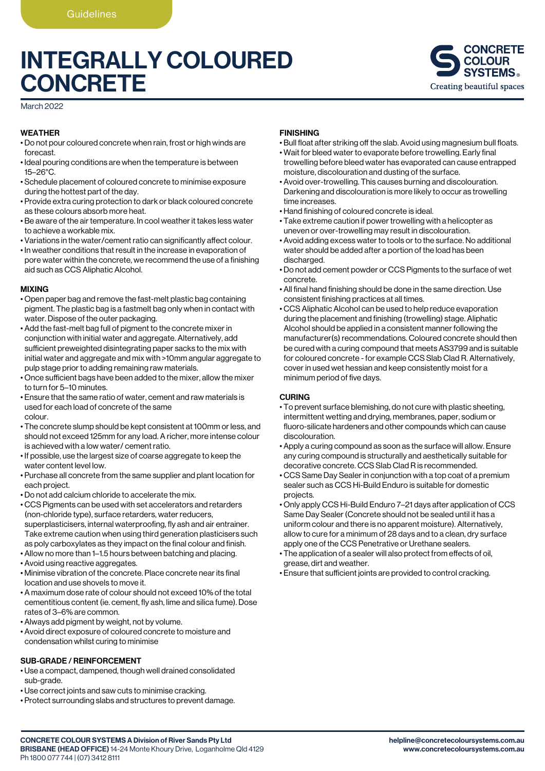# INTEGRALLY COLOURED **CONCRETE**



March 2022

#### WEATHER

- Do not pour coloured concrete when rain, frost or high winds are forecast.
- Ideal pouring conditions are when the temperature is between 15–26°C.
- Schedule placement of coloured concrete to minimise exposure during the hottest part of the day.
- Provide extra curing protection to dark or black coloured concrete as these colours absorb more heat.
- Be aware of the air temperature. In cool weather it takes less water to achieve a workable mix.
- Variations in the water/cement ratio can significantly affect colour.
- In weather conditions that result in the increase in evaporation of pore water within the concrete, we recommend the use of a finishing aid such as CCS Aliphatic Alcohol.

#### MIXING

- Open paper bag and remove the fast-melt plastic bag containing pigment. The plastic bag is a fastmelt bag only when in contact with water. Dispose of the outer packaging.
- Add the fast-melt bag full of pigment to the concrete mixer in conjunction with initial water and aggregate. Alternatively, add sufficient preweighted disintegrating paper sacks to the mix with initial water and aggregate and mix with >10mm angular aggregate to pulp stage prior to adding remaining raw materials.
- Once sufficient bags have been added to the mixer, allow the mixer to turn for 5–10 minutes.
- Ensure that the same ratio of water, cement and raw materials is used for each load of concrete of the same colour.
- The concrete slump should be kept consistent at 100mm or less, and should not exceed 125mm for any load. A richer, more intense colour is achieved with a low water/ cement ratio.
- If possible, use the largest size of coarse aggregate to keep the water content level low.
- Purchase all concrete from the same supplier and plant location for each project.
- Do not add calcium chloride to accelerate the mix.
- CCS Pigments can be used with set accelerators and retarders (non-chloride type), surface retarders, water reducers, superplasticisers, internal waterproofing, fly ash and air entrainer. Take extreme caution when using third generation plasticisers such as poly carboxylates as they impact on the final colour and finish.
- Allow no more than 1–1.5 hours between batching and placing.
- Avoid using reactive aggregates.
- Minimise vibration of the concrete. Place concrete near its final location and use shovels to move it.
- A maximum dose rate of colour should not exceed 10% of the total cementitious content (ie. cement, fly ash, lime and silica fume). Dose rates of 3–6% are common.
- Always add pigment by weight, not by volume.
- Avoid direct exposure of coloured concrete to moisture and condensation whilst curing to minimise

#### SUB-GRADE / REINFORCEMENT

- Use a compact, dampened, though well drained consolidated sub-grade.
- Use correct joints and saw cuts to minimise cracking.
- Protect surrounding slabs and structures to prevent damage.

#### FINISHING

- Bull float after striking off the slab. Avoid using magnesium bull floats.
- Wait for bleed water to evaporate before trowelling. Early final trowelling before bleed water has evaporated can cause entrapped moisture, discolouration and dusting of the surface.
- Avoid over-trowelling. This causes burning and discolouration. Darkening and discolouration is more likely to occur as trowelling time increases.
- Hand finishing of coloured concrete is ideal.
- Take extreme caution if power trowelling with a helicopter as uneven or over-trowelling may result in discolouration.
- Avoid adding excess water to tools or to the surface. No additional water should be added after a portion of the load has been discharged.
- Do not add cement powder or CCS Pigments to the surface of wet concrete.
- All final hand finishing should be done in the same direction. Use consistent finishing practices at all times.
- CCS Aliphatic Alcohol can be used to help reduce evaporation during the placement and finishing (trowelling) stage. Aliphatic Alcohol should be applied in a consistent manner following the manufacturer(s) recommendations. Coloured concrete should then be cured with a curing compound that meets AS3799 and is suitable for coloured concrete - for example CCS Slab Clad R. Alternatively, cover in used wet hessian and keep consistently moist for a minimum period of five days.

#### CURING

- To prevent surface blemishing, do not cure with plastic sheeting, intermittent wetting and drying, membranes, paper, sodium or fluoro-silicate hardeners and other compounds which can cause discolouration.
- Apply a curing compound as soon as the surface will allow. Ensure any curing compound is structurally and aesthetically suitable for decorative concrete. CCS Slab Clad R is recommended.
- CCS Same Day Sealer in conjunction with a top coat of a premium sealer such as CCS Hi-Build Enduro is suitable for domestic projects.
- Only apply CCS Hi-Build Enduro 7–21 days after application of CCS Same Day Sealer (Concrete should not be sealed until it has a uniform colour and there is no apparent moisture). Alternatively, allow to cure for a minimum of 28 days and to a clean, dry surface apply one of the CCS Penetrative or Urethane sealers.
- The application of a sealer will also protect from effects of oil, grease, dirt and weather.
- Ensure that sufficient joints are provided to control cracking.